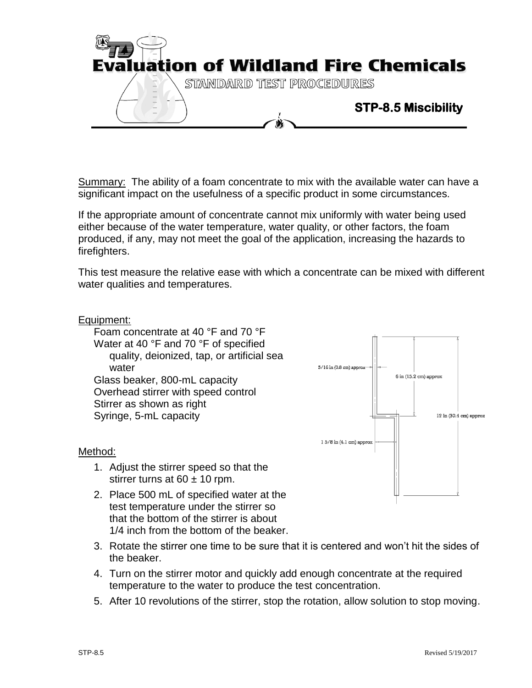

Summary: The ability of a foam concentrate to mix with the available water can have a significant impact on the usefulness of a specific product in some circumstances.

If the appropriate amount of concentrate cannot mix uniformly with water being used either because of the water temperature, water quality, or other factors, the foam produced, if any, may not meet the goal of the application, increasing the hazards to firefighters.

This test measure the relative ease with which a concentrate can be mixed with different water qualities and temperatures.

## Equipment:

Foam concentrate at 40 °F and 70 °F Water at 40 °F and 70 °F of specified quality, deionized, tap, or artificial sea water Glass beaker, 800-mL capacity Overhead stirrer with speed control Stirrer as shown as right Syringe, 5-mL capacity



## Method:

- 1. Adjust the stirrer speed so that the stirrer turns at  $60 \pm 10$  rpm.
- 2. Place 500 mL of specified water at the test temperature under the stirrer so that the bottom of the stirrer is about 1/4 inch from the bottom of the beaker.
- 3. Rotate the stirrer one time to be sure that it is centered and won't hit the sides of the beaker.
- 4. Turn on the stirrer motor and quickly add enough concentrate at the required temperature to the water to produce the test concentration.
- 5. After 10 revolutions of the stirrer, stop the rotation, allow solution to stop moving.